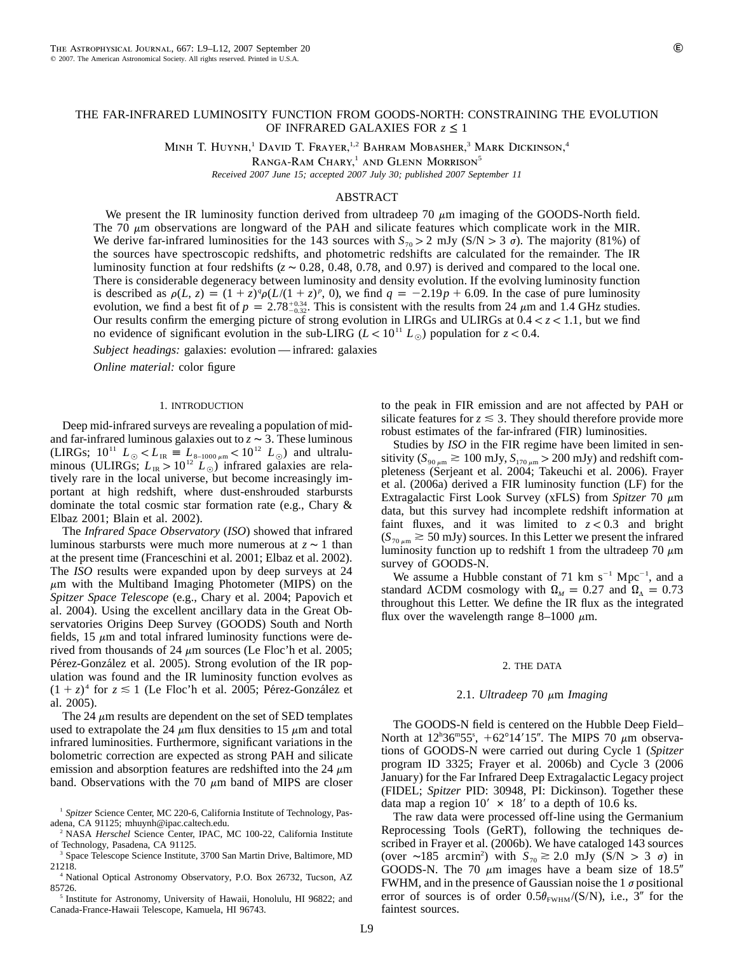# THE FAR-INFRARED LUMINOSITY FUNCTION FROM GOODS-NORTH: CONSTRAINING THE EVOLUTION OF INFRARED GALAXIES FOR *z* ≤ 1

MINH T. HUYNH,<sup>1</sup> DAVID T. FRAYER,<sup>1,2</sup> BAHRAM MOBASHER,<sup>3</sup> MARK DICKINSON,<sup>4</sup>

RANGA-RAM CHARY,<sup>1</sup> AND GLENN MORRISON<sup>5</sup>

*Received 2007 June 15; accepted 2007 July 30; published 2007 September 11*

# ABSTRACT

We present the IR luminosity function derived from ultradeep 70  $\mu$ m imaging of the GOODS-North field. The 70  $\mu$ m observations are longward of the PAH and silicate features which complicate work in the MIR. We derive far-infrared luminosities for the 143 sources with  $S_{70} > 2$  mJy (S/N  $> 3 \sigma$ ). The majority (81%) of the sources have spectroscopic redshifts, and photometric redshifts are calculated for the remainder. The IR luminosity function at four redshifts ( $z \sim 0.28$ , 0.48, 0.78, and 0.97) is derived and compared to the local one. There is considerable degeneracy between luminosity and density evolution. If the evolving luminosity function is described as  $\rho(L, z) = (1 + z)^q \rho(L/(1 + z)^p, 0)$ , we find  $q = -2.19p + 6.09$ . In the case of pure luminosity evolution, we find a best fit of  $p = 2.78^{+0.34}_{-0.32}$ . This is consistent with the results from 24  $\mu$ m and 1.4 GHz studies. Our results confirm the emerging picture of strong evolution in LIRGs and ULIRGs at  $0.4 < z < 1.1$ , but we find no evidence of significant evolution in the sub-LIRG ( $L < 10^{11} L_{\odot}$ ) population for  $z < 0.4$ .

*Subject headings:* galaxies: evolution — infrared: galaxies

*Online material:* color figure

### 1. INTRODUCTION

Deep mid-infrared surveys are revealing a population of midand far-infrared luminous galaxies out to  $z \sim 3$ . These luminous (LIRGs;  $10^{11} L_{\odot} < L_{IR} \equiv L_{8-1000 \mu m} < 10^{12} L_{\odot}$ ) and ultraluminous (ULIRGs;  $L_{IR} > 10^{12} L_{\odot}$ ) infrared galaxies are relatively rare in the local universe, but become increasingly important at high redshift, where dust-enshrouded starbursts dominate the total cosmic star formation rate (e.g., Chary & Elbaz 2001; Blain et al. 2002).

The *Infrared Space Observatory* (*ISO*) showed that infrared luminous starbursts were much more numerous at  $z \sim 1$  than at the present time (Franceschini et al. 2001; Elbaz et al. 2002). The *ISO* results were expanded upon by deep surveys at 24  $\mu$ m with the Multiband Imaging Photometer (MIPS) on the *Spitzer Space Telescope* (e.g., Chary et al. 2004; Papovich et al. 2004). Using the excellent ancillary data in the Great Observatories Origins Deep Survey (GOODS) South and North fields, 15  $\mu$ m and total infrared luminosity functions were derived from thousands of 24  $\mu$ m sources (Le Floc'h et al. 2005; Pérez-González et al. 2005). Strong evolution of the IR population was found and the IR luminosity function evolves as  $(1 + z)^4$  for  $z \le 1$  (Le Floc'h et al. 2005; Pérez-González et al. 2005).

The 24  $\mu$ m results are dependent on the set of SED templates used to extrapolate the 24  $\mu$ m flux densities to 15  $\mu$ m and total infrared luminosities. Furthermore, significant variations in the bolometric correction are expected as strong PAH and silicate emission and absorption features are redshifted into the 24  $\mu$ m band. Observations with the 70  $\mu$ m band of MIPS are closer

<sup>4</sup> National Optical Astronomy Observatory, P.O. Box 26732, Tucson, AZ 85726.

<sup>5</sup> Institute for Astronomy, University of Hawaii, Honolulu, HI 96822; and Canada-France-Hawaii Telescope, Kamuela, HI 96743.

to the peak in FIR emission and are not affected by PAH or silicate features for  $z \leq 3$ . They should therefore provide more robust estimates of the far-infrared (FIR) luminosities.

Studies by *ISO* in the FIR regime have been limited in sensitivity ( $S_{90 \mu m} \gtrsim 100 \text{ mJy}, S_{170 \mu m} > 200 \text{ mJy}$ ) and redshift completeness (Serjeant et al. 2004; Takeuchi et al. 2006). Frayer et al. (2006a) derived a FIR luminosity function (LF) for the Extragalactic First Look Survey (xFLS) from *Spitzer* 70  $\mu$ m data, but this survey had incomplete redshift information at faint fluxes, and it was limited to  $z < 0.3$  and bright  $(S_{70 \mu m} \ge 50 \text{ mJy})$  sources. In this Letter we present the infrared luminosity function up to redshift 1 from the ultradeep 70  $\mu$ m survey of GOODS-N.

We assume a Hubble constant of 71 km  $s^{-1}$  Mpc<sup>-1</sup>, and a standard  $\Lambda$ CDM cosmology with  $\Omega_M = 0.27$  and  $\Omega_{\Lambda} = 0.73$ throughout this Letter. We define the IR flux as the integrated flux over the wavelength range 8-1000  $\mu$ m.

#### 2. THE DATA

### 2.1. *Ultradeep* 70 μm *Imaging*

The GOODS-N field is centered on the Hubble Deep Field– North at  $12^{\text{h}}36^{\text{m}}55^{\text{s}}$ ,  $+62^{\circ}14'15''$ . The MIPS 70  $\mu$ m observations of GOODS-N were carried out during Cycle 1 (*Spitzer* program ID 3325; Frayer et al. 2006b) and Cycle 3 (2006 January) for the Far Infrared Deep Extragalactic Legacy project (FIDEL; *Spitzer* PID: 30948, PI: Dickinson). Together these data map a region  $10' \times 18'$  to a depth of 10.6 ks.

The raw data were processed off-line using the Germanium Reprocessing Tools (GeRT), following the techniques described in Frayer et al. (2006b). We have cataloged 143 sources (over ∼185 arcmin<sup>2</sup>) with  $S_{70} \ge 2.0$  mJy (S/N > 3  $\sigma$ ) in GOODS-N. The 70  $\mu$ m images have a beam size of 18.5" FWHM, and in the presence of Gaussian noise the  $1 \sigma$  positional error of sources is of order  $0.5\theta_{FWHM}/(S/N)$ , i.e., 3<sup>"</sup> for the faintest sources.

<sup>&</sup>lt;sup>1</sup> Spitzer Science Center, MC 220-6, California Institute of Technology, Pasadena, CA 91125; mhuynh@ipac.caltech.edu.

<sup>2</sup> NASA *Herschel* Science Center, IPAC, MC 100-22, California Institute of Technology, Pasadena, CA 91125.

<sup>3</sup> Space Telescope Science Institute, 3700 San Martin Drive, Baltimore, MD 21218.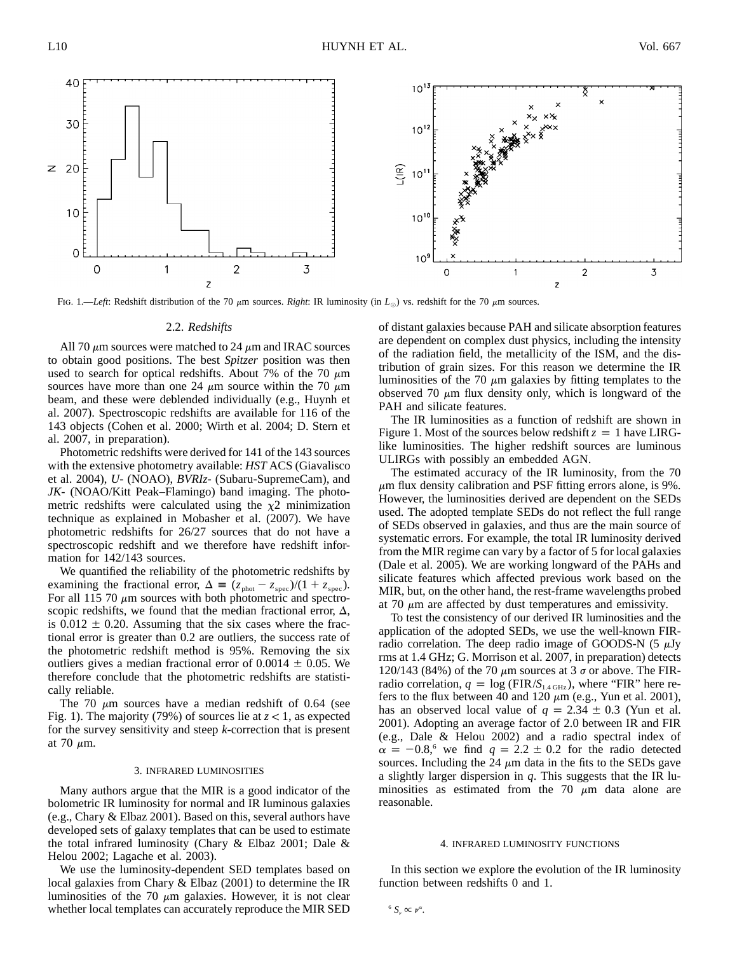

FIG. 1.—*Left*: Redshift distribution of the 70  $\mu$ m sources. *Right*: IR luminosity (in  $L_{\odot}$ ) vs. redshift for the 70  $\mu$ m sources.

### 2.2. *Redshifts*

All 70  $\mu$ m sources were matched to 24  $\mu$ m and IRAC sources to obtain good positions. The best *Spitzer* position was then used to search for optical redshifts. About 7% of the 70  $\mu$ m sources have more than one 24  $\mu$ m source within the 70  $\mu$ m beam, and these were deblended individually (e.g., Huynh et al. 2007). Spectroscopic redshifts are available for 116 of the 143 objects (Cohen et al. 2000; Wirth et al. 2004; D. Stern et al. 2007, in preparation).

Photometric redshifts were derived for 141 of the 143 sources with the extensive photometry available: *HST* ACS (Giavalisco et al. 2004), *U*- (NOAO), *BVRIz*- (Subaru-SupremeCam), and *JK*- (NOAO/Kitt Peak–Flamingo) band imaging. The photometric redshifts were calculated using the  $\chi^2$  minimization technique as explained in Mobasher et al. (2007). We have photometric redshifts for 26/27 sources that do not have a spectroscopic redshift and we therefore have redshift information for 142/143 sources.

We quantified the reliability of the photometric redshifts by examining the fractional error,  $\Delta = (z_{phot} - z_{spec})/(1 + z_{spec})$ . For all 115 70  $\mu$ m sources with both photometric and spectroscopic redshifts, we found that the median fractional error,  $\Delta$ , is  $0.012 \pm 0.20$ . Assuming that the six cases where the fractional error is greater than 0.2 are outliers, the success rate of the photometric redshift method is 95%. Removing the six outliers gives a median fractional error of  $0.0014 \pm 0.05$ . We therefore conclude that the photometric redshifts are statistically reliable.

The 70  $\mu$ m sources have a median redshift of 0.64 (see Fig. 1). The majority (79%) of sources lie at  $z < 1$ , as expected for the survey sensitivity and steep *k*-correction that is present at 70  $\mu$ m.

### 3. INFRARED LUMINOSITIES

Many authors argue that the MIR is a good indicator of the bolometric IR luminosity for normal and IR luminous galaxies (e.g., Chary & Elbaz 2001). Based on this, several authors have developed sets of galaxy templates that can be used to estimate the total infrared luminosity (Chary & Elbaz 2001; Dale & Helou 2002; Lagache et al. 2003).

We use the luminosity-dependent SED templates based on local galaxies from Chary & Elbaz (2001) to determine the IR luminosities of the 70  $\mu$ m galaxies. However, it is not clear whether local templates can accurately reproduce the MIR SED of distant galaxies because PAH and silicate absorption features are dependent on complex dust physics, including the intensity of the radiation field, the metallicity of the ISM, and the distribution of grain sizes. For this reason we determine the IR luminosities of the 70  $\mu$ m galaxies by fitting templates to the observed 70  $\mu$ m flux density only, which is longward of the PAH and silicate features.

The IR luminosities as a function of redshift are shown in Figure 1. Most of the sources below redshift  $z = 1$  have LIRGlike luminosities. The higher redshift sources are luminous ULIRGs with possibly an embedded AGN.

The estimated accuracy of the IR luminosity, from the 70  $\mu$ m flux density calibration and PSF fitting errors alone, is 9%. However, the luminosities derived are dependent on the SEDs used. The adopted template SEDs do not reflect the full range of SEDs observed in galaxies, and thus are the main source of systematic errors. For example, the total IR luminosity derived from the MIR regime can vary by a factor of 5 for local galaxies (Dale et al. 2005). We are working longward of the PAHs and silicate features which affected previous work based on the MIR, but, on the other hand, the rest-frame wavelengths probed at 70  $\mu$ m are affected by dust temperatures and emissivity.

To test the consistency of our derived IR luminosities and the application of the adopted SEDs, we use the well-known FIRradio correlation. The deep radio image of GOODS-N  $(5 \mu Jy)$ rms at 1.4 GHz; G. Morrison et al. 2007, in preparation) detects 120/143 (84%) of the 70  $\mu$ m sources at 3  $\sigma$  or above. The FIRradio correlation,  $q = \log (\text{FIR}/S_{1.4 \text{ GHz}})$ , where "FIR" here refers to the flux between 40 and 120  $\mu$ m (e.g., Yun et al. 2001), has an observed local value of  $q = 2.34 \pm 0.3$  (Yun et al. 2001). Adopting an average factor of 2.0 between IR and FIR (e.g., Dale & Helou 2002) and a radio spectral index of  $\alpha = -0.8$ <sup>6</sup> we find  $q = 2.2 \pm 0.2$  for the radio detected sources. Including the 24  $\mu$ m data in the fits to the SEDs gave a slightly larger dispersion in *q*. This suggests that the IR luminosities as estimated from the 70  $\mu$ m data alone are reasonable.

#### 4. INFRARED LUMINOSITY FUNCTIONS

In this section we explore the evolution of the IR luminosity function between redshifts 0 and 1.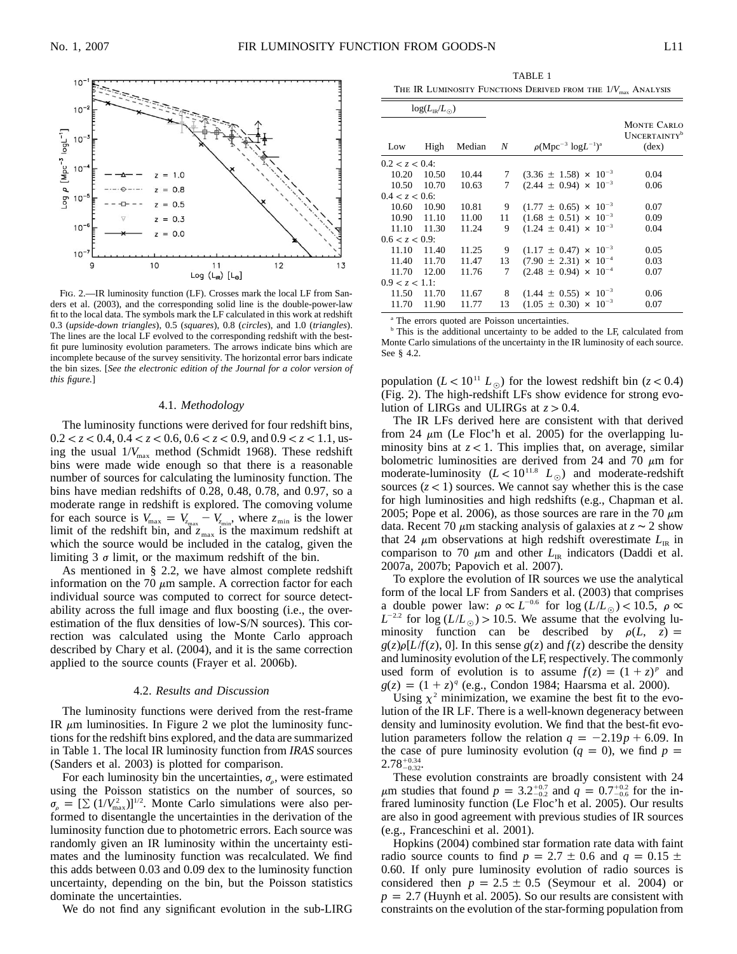

FIG. 2.—IR luminosity function (LF). Crosses mark the local LF from Sanders et al. (2003), and the corresponding solid line is the double-power-law fit to the local data. The symbols mark the LF calculated in this work at redshift 0.3 (*upside-down triangles*), 0.5 (*squares*), 0.8 (*circles*), and 1.0 (*triangles*). The lines are the local LF evolved to the corresponding redshift with the bestfit pure luminosity evolution parameters. The arrows indicate bins which are incomplete because of the survey sensitivity. The horizontal error bars indicate the bin sizes. [*See the electronic edition of the Journal for a color version of this figure.*]

# 4.1. *Methodology*

The luminosity functions were derived for four redshift bins,  $0.2 < z < 0.4$ ,  $0.4 < z < 0.6$ ,  $0.6 < z < 0.9$ , and  $0.9 < z < 1.1$ , using the usual  $1/V_{\text{max}}$  method (Schmidt 1968). These redshift bins were made wide enough so that there is a reasonable number of sources for calculating the luminosity function. The bins have median redshifts of 0.28, 0.48, 0.78, and 0.97, so a moderate range in redshift is explored. The comoving volume for each source is  $V_{\text{max}} = V_{z_{\text{max}}} - V_{z_{\text{min}}}$ , where  $z_{\text{min}}$  is the lower limit of the redshift bin, and  $z_{\text{max}}$  is the maximum redshift at which the source would be included in the catalog, given the limiting 3  $\sigma$  limit, or the maximum redshift of the bin.

As mentioned in § 2.2, we have almost complete redshift information on the 70  $\mu$ m sample. A correction factor for each individual source was computed to correct for source detectability across the full image and flux boosting (i.e., the overestimation of the flux densities of low-S/N sources). This correction was calculated using the Monte Carlo approach described by Chary et al. (2004), and it is the same correction applied to the source counts (Frayer et al. 2006b).

# 4.2. *Results and Discussion*

The luminosity functions were derived from the rest-frame IR  $\mu$ m luminosities. In Figure 2 we plot the luminosity functions for the redshift bins explored, and the data are summarized in Table 1. The local IR luminosity function from *IRAS* sources (Sanders et al. 2003) is plotted for comparison.

For each luminosity bin the uncertainties,  $\sigma_{\rho}$ , were estimated using the Poisson statistics on the number of sources, so  $\sigma_{\rho} = [\Sigma (1/V_{\text{max}}^2)]^{1/2}$ . Monte Carlo simulations were also performed to disentangle the uncertainties in the derivation of the luminosity function due to photometric errors. Each source was randomly given an IR luminosity within the uncertainty estimates and the luminosity function was recalculated. We find this adds between 0.03 and 0.09 dex to the luminosity function uncertainty, depending on the bin, but the Poisson statistics dominate the uncertainties.

We do not find any significant evolution in the sub-LIRG

TABLE 1 THE IR LUMINOSITY FUNCTIONS DERIVED FROM THE  $1/V_{\text{max}}$  ANALYSIS

| $log(L_{IR}/L_{\odot})$ |       |        |    |                                  |                                                                         |
|-------------------------|-------|--------|----|----------------------------------|-------------------------------------------------------------------------|
| Low                     | High  | Median | N  | $\rho(Mpc^{-3} \log L^{-1})^a$   | <b>MONTE CARLO</b><br><b>UNCERTAINTY</b> <sup>b</sup><br>$(\text{dex})$ |
| 0.2 < z < 0.4           |       |        |    |                                  |                                                                         |
| 10.20                   | 10.50 | 10.44  | 7  | $(3.36 \pm 1.58) \times 10^{-3}$ | 0.04                                                                    |
| 10.50                   | 10.70 | 10.63  | 7  | $(2.44 \pm 0.94) \times 10^{-3}$ | 0.06                                                                    |
| 0.4 < z < 0.6           |       |        |    |                                  |                                                                         |
| 10.60                   | 10.90 | 10.81  | 9  | $(1.77 \pm 0.65) \times 10^{-3}$ | 0.07                                                                    |
| 10.90 11.10             |       | 11.00  | 11 | $(1.68 \pm 0.51) \times 10^{-3}$ | 0.09                                                                    |
| 11.10                   | 11.30 | 11.24  | 9  | $(1.24 \pm 0.41) \times 10^{-3}$ | 0.04                                                                    |
| 0.6 < z < 0.9           |       |        |    |                                  |                                                                         |
| 11.10                   | 11.40 | 11.25  | 9  | $(1.17 \pm 0.47) \times 10^{-3}$ | 0.05                                                                    |
| 11.40                   | 11.70 | 11.47  | 13 | $(7.90 \pm 2.31) \times 10^{-4}$ | 0.03                                                                    |
| 11.70                   | 12.00 | 11.76  | 7  | $(2.48 \pm 0.94) \times 10^{-4}$ | 0.07                                                                    |
| $0.9 < z < 1.1$ :       |       |        |    |                                  |                                                                         |
| 11.50                   | 11.70 | 11.67  | 8  | $(1.44 \pm 0.55) \times 10^{-3}$ | 0.06                                                                    |
| 11.70                   | 11.90 | 11.77  | 13 | $(1.05 \pm 0.30) \times 10^{-3}$ | 0.07                                                                    |

<sup>a</sup> The errors quoted are Poisson uncertainties.

<sup>b</sup> This is the additional uncertainty to be added to the LF, calculated from Monte Carlo simulations of the uncertainty in the IR luminosity of each source. See § 4.2.

population  $(L < 10^{11} L_{\odot})$  for the lowest redshift bin  $(z < 0.4)$ (Fig. 2). The high-redshift LFs show evidence for strong evolution of LIRGs and ULIRGs at  $z > 0.4$ .

The IR LFs derived here are consistent with that derived from 24  $\mu$ m (Le Floc'h et al. 2005) for the overlapping luminosity bins at  $z < 1$ . This implies that, on average, similar bolometric luminosities are derived from 24 and 70  $\mu$ m for moderate-luminosity  $(L < 10^{11.8} L_{\odot})$  and moderate-redshift sources  $(z < 1)$  sources. We cannot say whether this is the case for high luminosities and high redshifts (e.g., Chapman et al. 2005; Pope et al. 2006), as those sources are rare in the 70  $\mu$ m data. Recent 70  $\mu$ m stacking analysis of galaxies at  $z \sim 2$  show that 24  $\mu$ m observations at high redshift overestimate  $L_{IR}$  in comparison to 70  $\mu$ m and other  $L_{IR}$  indicators (Daddi et al. 2007a, 2007b; Papovich et al. 2007).

To explore the evolution of IR sources we use the analytical form of the local LF from Sanders et al. (2003) that comprises a double power law:  $\rho \propto L^{-0.6}$  for  $\log(L/L_{\odot}) < 10.5$ ,  $\rho \propto L^{-0.6}$  $L^{-2.2}$  for  $\log(L/L_{\odot}) > 10.5$ . We assume that the evolving luminosity function can be described by  $\rho(L, z) =$  $g(z)\rho[L/f(z), 0]$ . In this sense  $g(z)$  and  $f(z)$  describe the density and luminosity evolution of the LF, respectively. The commonly used form of evolution is to assume  $f(z) = (1 + z)^p$  and  $g(z) = (1 + z)^q$  (e.g., Condon 1984; Haarsma et al. 2000).

Using  $\chi^2$  minimization, we examine the best fit to the evolution of the IR LF. There is a well-known degeneracy between density and luminosity evolution. We find that the best-fit evolution parameters follow the relation  $q = -2.19p + 6.09$ . In the case of pure luminosity evolution  $(q = 0)$ , we find  $p =$  $2.78^{+0.34}_{-0.32}$ 

These evolution constraints are broadly consistent with 24  $\mu$ m studies that found  $p = 3.2^{+0.7}_{-0.2}$  and  $q = 0.7^{+0.2}_{-0.6}$  for the infrared luminosity function (Le Floc'h et al. 2005). Our results are also in good agreement with previous studies of IR sources (e.g., Franceschini et al. 2001).

Hopkins (2004) combined star formation rate data with faint radio source counts to find  $p = 2.7 \pm 0.6$  and  $q = 0.15 \pm 0.6$ 0.60. If only pure luminosity evolution of radio sources is considered then  $p = 2.5 \pm 0.5$  (Seymour et al. 2004) or  $p = 2.7$  (Huynh et al. 2005). So our results are consistent with constraints on the evolution of the star-forming population from